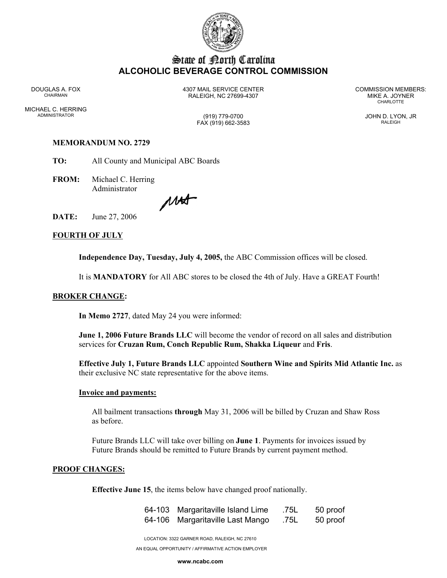

# State of Borth Carolina **ALCOHOLIC BEVERAGE CONTROL COMMISSION**

MICHAEL C. HERRING ADMINISTRATOR (919) 779-0700 JOHN D. LYON, JR

DOUGLAS A. FOX 4307 MAIL SERVICE CENTER COMMISSION MEMBERS: CHAIRMAN RALEIGH, NC 27699-4307 MIKE A. JOYNER

**CHARLOTTE** 

FAX (919) 662-3583 RALEIGH

# **MEMORANDUM NO. 2729**

**TO:** All County and Municipal ABC Boards

**FROM:** Michael C. Herring Administrator

MAT

**DATE:** June 27, 2006

## **FOURTH OF JULY**

**Independence Day, Tuesday, July 4, 2005,** the ABC Commission offices will be closed.

It is **MANDATORY** for All ABC stores to be closed the 4th of July. Have a GREAT Fourth!

#### **BROKER CHANGE:**

**In Memo 2727**, dated May 24 you were informed:

**June 1, 2006 Future Brands LLC** will become the vendor of record on all sales and distribution services for **Cruzan Rum, Conch Republic Rum, Shakka Liqueur** and **Fris**.

**Effective July 1, Future Brands LLC** appointed **Southern Wine and Spirits Mid Atlantic Inc.** as their exclusive NC state representative for the above items.

#### **Invoice and payments:**

All bailment transactions **through** May 31, 2006 will be billed by Cruzan and Shaw Ross as before.

Future Brands LLC will take over billing on **June 1**. Payments for invoices issued by Future Brands should be remitted to Future Brands by current payment method.

# **PROOF CHANGES:**

**Effective June 15**, the items below have changed proof nationally.

| 64-103 Margaritaville Island Lime | .75L | 50 proof |
|-----------------------------------|------|----------|
| 64-106 Margaritaville Last Mango  | .75L | 50 proof |

LOCATION: 3322 GARNER ROAD, RALEIGH, NC 27610

AN EQUAL OPPORTUNITY / AFFIRMATIVE ACTION EMPLOYER